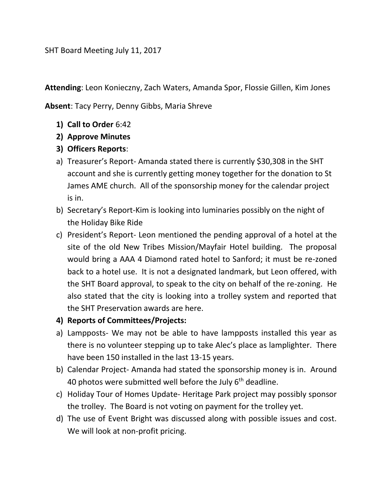SHT Board Meeting July 11, 2017

**Attending**: Leon Konieczny, Zach Waters, Amanda Spor, Flossie Gillen, Kim Jones

**Absent**: Tacy Perry, Denny Gibbs, Maria Shreve

- **1) Call to Order** 6:42
- **2) Approve Minutes**
- **3) Officers Reports**:
- a) Treasurer's Report- Amanda stated there is currently \$30,308 in the SHT account and she is currently getting money together for the donation to St James AME church. All of the sponsorship money for the calendar project is in.
- b) Secretary's Report-Kim is looking into luminaries possibly on the night of the Holiday Bike Ride
- c) President's Report- Leon mentioned the pending approval of a hotel at the site of the old New Tribes Mission/Mayfair Hotel building. The proposal would bring a AAA 4 Diamond rated hotel to Sanford; it must be re-zoned back to a hotel use. It is not a designated landmark, but Leon offered, with the SHT Board approval, to speak to the city on behalf of the re-zoning. He also stated that the city is looking into a trolley system and reported that the SHT Preservation awards are here.
- **4) Reports of Committees/Projects:**
- a) Lampposts- We may not be able to have lampposts installed this year as there is no volunteer stepping up to take Alec's place as lamplighter. There have been 150 installed in the last 13-15 years.
- b) Calendar Project- Amanda had stated the sponsorship money is in. Around 40 photos were submitted well before the July  $6<sup>th</sup>$  deadline.
- c) Holiday Tour of Homes Update- Heritage Park project may possibly sponsor the trolley. The Board is not voting on payment for the trolley yet.
- d) The use of Event Bright was discussed along with possible issues and cost. We will look at non-profit pricing.